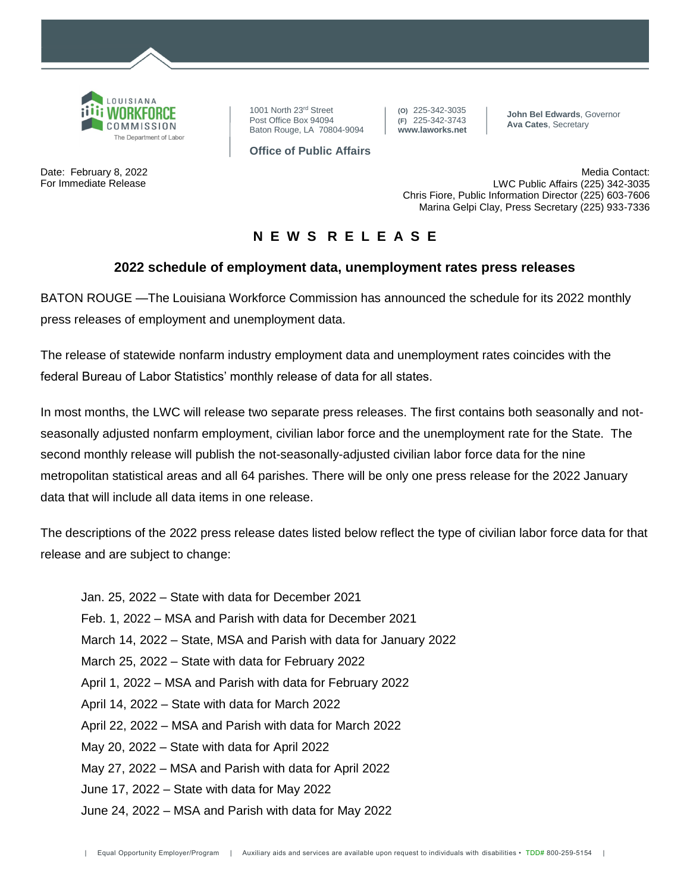

Date: February 8, 2022 For Immediate Release

1001 North 23rd Street Post Office Box 94094 Baton Rouge, LA 70804-9094 **(O)** 225-342-3035 **(F)** 225-342-3743 **www.laworks.net**

**John Bel Edwards**, Governor **Ava Cates**, Secretary

**Office of Public Affairs**

Media Contact: LWC Public Affairs (225) 342-3035 Chris Fiore, Public Information Director (225) 603-7606 Marina Gelpi Clay, Press Secretary (225) 933-7336

## **N E W S R E L E A S E**

## **2022 schedule of employment data, unemployment rates press releases**

BATON ROUGE —The Louisiana Workforce Commission has announced the schedule for its 2022 monthly press releases of employment and unemployment data.

The release of statewide nonfarm industry employment data and unemployment rates coincides with the federal Bureau of Labor Statistics' monthly release of data for all states.

In most months, the LWC will release two separate press releases. The first contains both seasonally and notseasonally adjusted nonfarm employment, civilian labor force and the unemployment rate for the State. The second monthly release will publish the not-seasonally-adjusted civilian labor force data for the nine metropolitan statistical areas and all 64 parishes. There will be only one press release for the 2022 January data that will include all data items in one release.

The descriptions of the 2022 press release dates listed below reflect the type of civilian labor force data for that release and are subject to change:

Jan. 25, 2022 – State with data for December 2021 Feb. 1, 2022 – MSA and Parish with data for December 2021 March 14, 2022 – State, MSA and Parish with data for January 2022 March 25, 2022 – State with data for February 2022 April 1, 2022 – MSA and Parish with data for February 2022 April 14, 2022 – State with data for March 2022 April 22, 2022 – MSA and Parish with data for March 2022 May 20, 2022 – State with data for April 2022 May 27, 2022 – MSA and Parish with data for April 2022 June 17, 2022 – State with data for May 2022 June 24, 2022 – MSA and Parish with data for May 2022